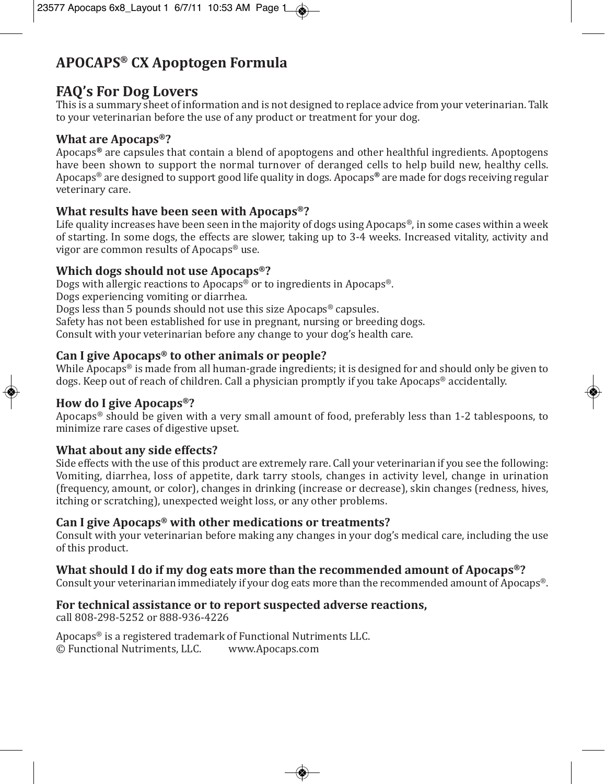# **APOCAPS® CX Apoptogen Formula**

## **FAQ's For Dog Lovers**

This is a summary sheet of information and is not designed to replace advice from your veterinarian. Talk to your veterinarian before the use of any product or treatment for your dog.

#### **What are Apocaps®?**

Apocaps**®** are capsules that contain a blend of apoptogens and other healthful ingredients. Apoptogens have been shown to support the normal turnover of deranged cells to help build new, healthy cells. Apocaps® are designed to support good life quality in dogs. Apocaps**®** are made for dogs receiving regular veterinary care.

### **What results have been seen with Apocaps®?**

Life quality increases have been seen in the majority of dogs using Apocaps<sup>®</sup>, in some cases within a week of starting. In some dogs, the effects are slower, taking up to 3-4 weeks. Increased vitality, activity and vigor are common results of Apocaps® use.

### **Which dogs should not use Apocaps®?**

Dogs with allergic reactions to Apocaps® or to ingredients in Apocaps®. Dogs experiencing vomiting or diarrhea. Dogs less than 5 pounds should not use this size Apocaps® capsules. Safety has not been established for use in pregnant, nursing or breeding dogs. Consult with your veterinarian before any change to your dog's health care.

# **Can I give Apocaps® to other animals or people?**

While Apocaps<sup>®</sup> is made from all human-grade ingredients; it is designed for and should only be given to dogs. Keep out of reach of children. Call a physician promptly if you take Apocaps® accidentally.

### **How do I give Apocaps®?**

Apocaps® should be given with a very small amount of food, preferably less than 1-2 tablespoons, to minimize rare cases of digestive upset.

### **What about any side effects?**

Side effects with the use of this product are extremely rare. Call your veterinarian if you see the following: Vomiting, diarrhea, loss of appetite, dark tarry stools, changes in activity level, change in urination (frequency, amount, or color), changes in drinking (increase or decrease), skin changes (redness, hives, itching or scratching), unexpected weight loss, or any other problems.

### **Can I give Apocaps® with other medications or treatments?**

Consult with your veterinarian before making any changes in your dog's medical care, including the use of this product.

### **What should I do if my dog eats more than the recommended amount of Apocaps®?**

Consult your veterinarian immediately if your dog eats more than the recommended amount of Apocaps®.

### **For technical assistance or to report suspected adverse reactions,**

call 808-298-5252 or 888-936-4226

Apocaps® is a registered trademark of Functional Nutriments LLC. © Functional Nutriments, LLC. www.Apocaps.com